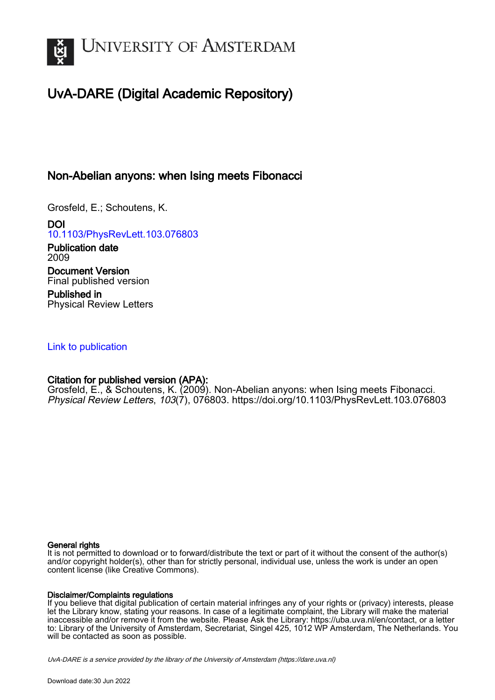

# UvA-DARE (Digital Academic Repository)

## Non-Abelian anyons: when Ising meets Fibonacci

Grosfeld, E.; Schoutens, K.

DOI [10.1103/PhysRevLett.103.076803](https://doi.org/10.1103/PhysRevLett.103.076803)

Publication date 2009 Document Version Final published version

Published in Physical Review Letters

## [Link to publication](https://dare.uva.nl/personal/pure/en/publications/nonabelian-anyons-when-ising-meets-fibonacci(4ef44293-5c94-448c-a38e-8f16f1887141).html)

## Citation for published version (APA):

Grosfeld, E., & Schoutens, K. (2009). Non-Abelian anyons: when Ising meets Fibonacci. Physical Review Letters, 103(7), 076803. <https://doi.org/10.1103/PhysRevLett.103.076803>

#### General rights

It is not permitted to download or to forward/distribute the text or part of it without the consent of the author(s) and/or copyright holder(s), other than for strictly personal, individual use, unless the work is under an open content license (like Creative Commons).

#### Disclaimer/Complaints regulations

If you believe that digital publication of certain material infringes any of your rights or (privacy) interests, please let the Library know, stating your reasons. In case of a legitimate complaint, the Library will make the material inaccessible and/or remove it from the website. Please Ask the Library: https://uba.uva.nl/en/contact, or a letter to: Library of the University of Amsterdam, Secretariat, Singel 425, 1012 WP Amsterdam, The Netherlands. You will be contacted as soon as possible.

UvA-DARE is a service provided by the library of the University of Amsterdam (http*s*://dare.uva.nl)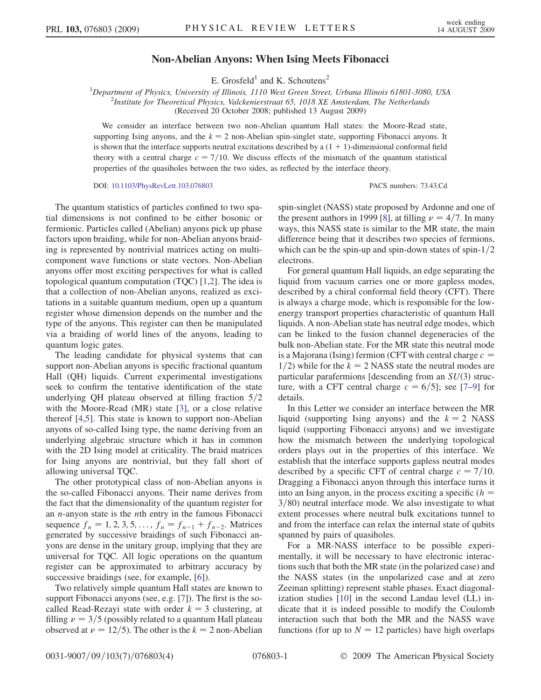### Non-Abelian Anyons: When Ising Meets Fibonacci

E. Grosfeld<sup>1</sup> and K. Schoutens<sup>2</sup>

<sup>1</sup>Department of Physics, University of Illinois, 1110 West Green Street, Urbana Illinois 61801-3080, USA<br><sup>2</sup>Institute for Theoretical Physics, Valckenierstraat 65, 1018 YF Amsterdam, The Netherlands  $2$ Institute for Theoretical Physics, Valckenierstraat 65, 1018 XE Amsterdam, The Netherlands (Received 20 October 2008; published 13 August 2009)

We consider an interface between two non-Abelian quantum Hall states: the Moore-Read state, supporting Ising anyons, and the  $k = 2$  non-Abelian spin-singlet state, supporting Fibonacci anyons. It is shown that the interface supports neutral excitations described by a  $(1 + 1)$ -dimensional conformal field theory with a central charge  $c = 7/10$ . We discuss effects of the mismatch of the quantum statistical properties of the quasiholes between the two sides, as reflected by the interface theory.

DOI: [10.1103/PhysRevLett.103.076803](http://dx.doi.org/10.1103/PhysRevLett.103.076803) PACS numbers: 73.43.Cd

The quantum statistics of particles confined to two spatial dimensions is not confined to be either bosonic or fermionic. Particles called (Abelian) anyons pick up phase factors upon braiding, while for non-Abelian anyons braiding is represented by nontrivial matrices acting on multicomponent wave functions or state vectors. Non-Abelian anyons offer most exciting perspectives for what is called topological quantum computation (TQC) [[1](#page-4-0)[,2\]](#page-4-1). The idea is that a collection of non-Abelian anyons, realized as excitations in a suitable quantum medium, open up a quantum register whose dimension depends on the number and the type of the anyons. This register can then be manipulated via a braiding of world lines of the anyons, leading to quantum logic gates.

The leading candidate for physical systems that can support non-Abelian anyons is specific fractional quantum Hall (QH) liquids. Current experimental investigations seek to confirm the tentative identification of the state underlying QH plateau observed at filling fraction  $5/2$ with the Moore-Read (MR) state [[3](#page-4-2)], or a close relative thereof [[4](#page-4-3)[,5\]](#page-4-4). This state is known to support non-Abelian anyons of so-called Ising type, the name deriving from an underlying algebraic structure which it has in common with the 2D Ising model at criticality. The braid matrices for Ising anyons are nontrivial, but they fall short of allowing universal TQC.

The other prototypical class of non-Abelian anyons is the so-called Fibonacci anyons. Their name derives from the fact that the dimensionality of the quantum register for an  $n$ -anyon state is the  $n$ th entry in the famous Fibonacci sequence  $f_n = 1, 2, 3, 5, \ldots, f_n = f_{n-1} + f_{n-2}$ . Matrices generated by successive braidings of such Fibonacci anyons are dense in the unitary group, implying that they are universal for TQC. All logic operations on the quantum register can be approximated to arbitrary accuracy by successive braidings (see, for example, [\[6](#page-4-5)]).

Two relatively simple quantum Hall states are known to support Fibonacci anyons (see, e.g. [[7\]](#page-4-6)). The first is the socalled Read-Rezayi state with order  $k = 3$  clustering, at filling  $\nu = 3/5$  (possibly related to a quantum Hall plateau observed at  $\nu = 12/5$ . The other is the  $k = 2$  non-Abelian spin-singlet (NASS) state proposed by Ardonne and one of the present authors in 1999 [\[8\]](#page-4-7), at filling  $\nu = 4/7$ . In many ways, this NASS state is similar to the MR state, the main difference being that it describes two species of fermions, which can be the spin-up and spin-down states of spin- $1/2$ electrons.

For general quantum Hall liquids, an edge separating the liquid from vacuum carries one or more gapless modes, described by a chiral conformal field theory (CFT). There is always a charge mode, which is responsible for the lowenergy transport properties characteristic of quantum Hall liquids. A non-Abelian state has neutral edge modes, which can be linked to the fusion channel degeneracies of the bulk non-Abelian state. For the MR state this neutral mode is a Majorana (Ising) fermion (CFT with central charge  $c =$  $1/2$ ) while for the  $k = 2$  NASS state the neutral modes are particular parafermions [descending from an  $SU(3)$  structure, with a CFT central charge  $c = 6/5$ ; see [[7–](#page-4-6)[9](#page-4-8)] for details.

In this Letter we consider an interface between the MR liquid (supporting Ising anyons) and the  $k = 2$  NASS liquid (supporting Fibonacci anyons) and we investigate how the mismatch between the underlying topological orders plays out in the properties of this interface. We establish that the interface supports gapless neutral modes described by a specific CFT of central charge  $c = 7/10$ . Dragging a Fibonacci anyon through this interface turns it into an Ising anyon, in the process exciting a specific  $(h =$  $3/80$ ) neutral interface mode. We also investigate to what extent processes where neutral bulk excitations tunnel to and from the interface can relax the internal state of qubits spanned by pairs of quasiholes.

For a MR-NASS interface to be possible experimentally, it will be necessary to have electronic interactions such that both the MR state (in the polarized case) and the NASS states (in the unpolarized case and at zero Zeeman splitting) represent stable phases. Exact diagonalization studies [\[10\]](#page-4-9) in the second Landau level (LL) indicate that it is indeed possible to modify the Coulomb interaction such that both the MR and the NASS wave functions (for up to  $N = 12$  particles) have high overlaps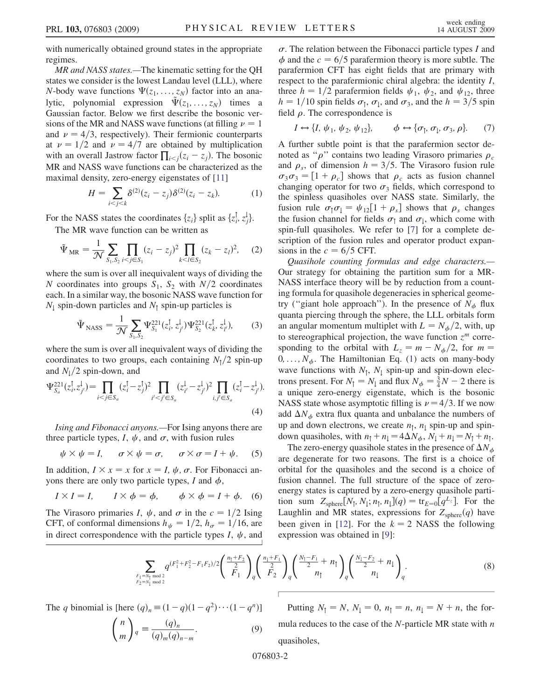with numerically obtained ground states in the appropriate regimes.

MR and NASS states.—The kinematic setting for the QH states we consider is the lowest Landau level (LLL), where N-body wave functions  $\Psi(z_1, \ldots, z_N)$  factor into an analytic, polynomial expression  $\tilde{\Psi}(z_1, \ldots, z_N)$  times a Gaussian factor. Below we first describe the bosonic versions of the MR and NASS wave functions (at filling  $\nu = 1$ and  $\nu = 4/3$ , respectively). Their fermionic counterparts at  $\nu = 1/2$  and  $\nu = 4/7$  are obtained by multiplication with an overall Jastrow factor  $\prod_{i < j} (z_i - z_j)$ . The bosonic<br>MR and NASS wave functions can be characterized as the MR and NASS wave functions can be characterized as the maximal density, zero-energy eigenstates of [\[11\]](#page-4-10)

$$
H = \sum_{i < j < k} \delta^{(2)}(z_i - z_j) \delta^{(2)}(z_i - z_k). \tag{1}
$$

<span id="page-2-0"></span>For the NASS states the coordinates  $\{z_i\}$  split as  $\{z_i^{\dagger}, z_j^{\dagger}\}$ .<br>The MP weves function can be written as

The MR wave function can be written as

$$
\tilde{\Psi}_{MR} = \frac{1}{\mathcal{N}} \sum_{S_1, S_2} \prod_{i < j \in S_1} (z_i - z_j)^2 \prod_{k < l \in S_2} (z_k - z_l)^2, \quad (2)
$$

where the sum is over all inequivalent ways of dividing the N coordinates into groups  $S_1$ ,  $S_2$  with  $N/2$  coordinates each. In a similar way, the bosonic NASS wave function for  $N_1$  spin-down particles and  $N_1$  spin-up particles is

$$
\tilde{\Psi}_{\text{NASS}} = \frac{1}{\mathcal{N}} \sum_{S_1, S_2} \Psi_{S_1}^{221}(z_i^{\dagger}, z_{j'}^{\dagger}) \Psi_{S_2}^{221}(z_k^{\dagger}, z_{l'}^{\dagger}), \tag{3}
$$

where the sum is over all inequivalent ways of dividing the coordinates to two groups, each containing  $N_1/2$  spin-up and  $N_1/2$  spin-down, and

$$
\Psi_{S_a}^{221}(z_i^{\dagger}, z_j^{\dagger}) = \prod_{i < j \in S_a} (z_i^{\dagger} - z_j^{\dagger})^2 \prod_{i' < j' \in S_a} (z_{i'}^{\dagger} - z_{j'}^{\dagger})^2 \prod_{i, j' \in S_a} (z_i^{\dagger} - z_{j'}^{\dagger}).\tag{4}
$$

Ising and Fibonacci anyons.—For Ising anyons there are three particle types, I,  $\psi$ , and  $\sigma$ , with fusion rules

$$
\psi \times \psi = I, \quad \sigma \times \psi = \sigma, \quad \sigma \times \sigma = I + \psi. \quad (5)
$$

In addition,  $I \times x = x$  for  $x = I$ ,  $\psi$ ,  $\sigma$ . For Fibonacci an-<br>vons there are only two particle types I and  $\phi$ yons there are only two particle types, I and  $\phi$ ,

$$
I \times I = I, \qquad I \times \phi = \phi, \qquad \phi \times \phi = I + \phi. \tag{6}
$$

<span id="page-2-1"></span>The Virasoro primaries I,  $\psi$ , and  $\sigma$  in the  $c = 1/2$  Ising CFT, of conformal dimensions  $h_{\psi} = 1/2$ ,  $h_{\sigma} = 1/16$ , are in direct correspondence with the particle types  $I$ ,  $\psi$ , and  $\sigma$ . The relation between the Fibonacci particle types I and  $\phi$  and the  $c = 6/5$  parafermion theory is more subtle. The parafermion CFT has eight fields that are primary with respect to the parafermionic chiral algebra: the identity I, three  $h = 1/2$  parafermion fields  $\psi_1$ ,  $\psi_2$ , and  $\psi_{12}$ , three  $h = 1/10$  spin fields  $\sigma_1$ ,  $\sigma_1$ , and  $\sigma_3$ , and the  $h = 3/5$  spin field  $\rho$ . The correspondence is

$$
I \leftrightarrow \{I, \psi_1, \psi_2, \psi_{12}\}, \qquad \phi \leftrightarrow \{\sigma_\uparrow, \sigma_\downarrow, \sigma_3, \rho\}. \tag{7}
$$

A further subtle point is that the parafermion sector denoted as " $\rho$ " contains two leading Virasoro primaries  $\rho_c$ and  $\rho_s$ , of dimension  $h = 3/5$ . The Virasoro fusion rule  $\sigma_3 \sigma_3 = [1 + \rho_c]$  shows that  $\rho_c$  acts as fusion channel changing operator for two  $\sigma_3$  fields, which correspond to the spinless quasiholes over NASS state. Similarly, the fusion rule  $\sigma_{\uparrow} \sigma_{\downarrow} = \psi_{12} [1 + \rho_s]$  shows that  $\rho_s$  changes the fusion channel for fields  $\sigma_1$  and  $\sigma_1$ , which come with spin-full quasiholes. We refer to [[7\]](#page-4-6) for a complete description of the fusion rules and operator product expansions in the  $c = 6/5$  CFT.

Quasihole counting formulas and edge characters.— Our strategy for obtaining the partition sum for a MR-NASS interface theory will be by reduction from a counting formula for quasihole degeneracies in spherical geometry ("giant hole approach"). In the presence of  $N_{\phi}$  flux quanta piercing through the sphere, the LLL orbitals form an angular momentum multiplet with  $L = N_{\phi}/2$ , with, up to stereographical projection, the wave function  $z^m$  corresponding to the orbital with  $L_z = m - N_{\phi}/2$ , for  $m =$  $0, \ldots, N_{\phi}$ . The Hamiltonian Eq. [\(1](#page-2-0)) acts on many-body wave functions with  $N_1$ ,  $N_1$  spin-up and spin-down electrons present. For  $N_1 = N_1$  and flux  $N_{\phi} = \frac{3}{4}N - 2$  there is a unique zero-energy eigenstate, which is the bosonic NASS state whose asymptotic filling is  $\nu = 4/3$ . If we now add  $\Delta N_{\phi}$  extra flux quanta and unbalance the numbers of up and down electrons, we create  $n<sub>1</sub>$ ,  $n<sub>1</sub>$  spin-up and spindown quasiholes, with  $n_1 + n_1 = 4\Delta N_\phi$ ,  $N_1 + n_1 = N_1 + n_1$ .<br>The zero-energy quasibole states in the presence of  $\Delta N_\phi$ .

The zero-energy quasihole states in the presence of  $\Delta N_{\phi}$ are degenerate for two reasons. The first is a choice of orbital for the quasiholes and the second is a choice of fusion channel. The full structure of the space of zeroenergy states is captured by a zero-energy quasihole partition sum  $Z_{\text{sphere}}[N_{\uparrow}, N_{\downarrow}; n_{\uparrow}, n_{\downarrow}](q) = \text{tr}_{E=0}[q^{L_z}]$ . For the Laughlin and MR states, expressions for  $Z_{sphere}(q)$  have been given in [[12](#page-4-11)]. For the  $k = 2$  NASS the following expression was obtained in [[9\]](#page-4-8):

$$
\sum_{\substack{F_1 = N_{\uparrow} \text{ mod } 2 \\ F_2 = N_{\downarrow} \text{ mod } 2}} q^{(F_1^2 + F_2^2 - F_1 F_2)/2} \left( \frac{n_{\uparrow} + F_2}{2} \right)_{q} \left( \frac{n_{\downarrow} + F_1}{2} \right)_{q} \left( \frac{N_{\uparrow} - F_1}{2} + n_{\uparrow} \right)_{q} \left( \frac{N_{\downarrow} - F_2}{2} + n_{\downarrow} \right)_{q}. \tag{8}
$$

The q binomial is [here  $(q)_n \equiv (1-q)(1-q^2)\cdots(1-q^n)$ ]  $\left( n\right)$ 

$$
\binom{n}{m}_q \equiv \frac{(q)_n}{(q)_m (q)_{n-m}}.\tag{9}
$$

Putting  $N_1 = N$ ,  $N_1 = 0$ ,  $n_1 = n$ ,  $n_1 = N + n$ , the formula reduces to the case of the  $N$ -particle MR state with  $n$ quasiholes,

076803-2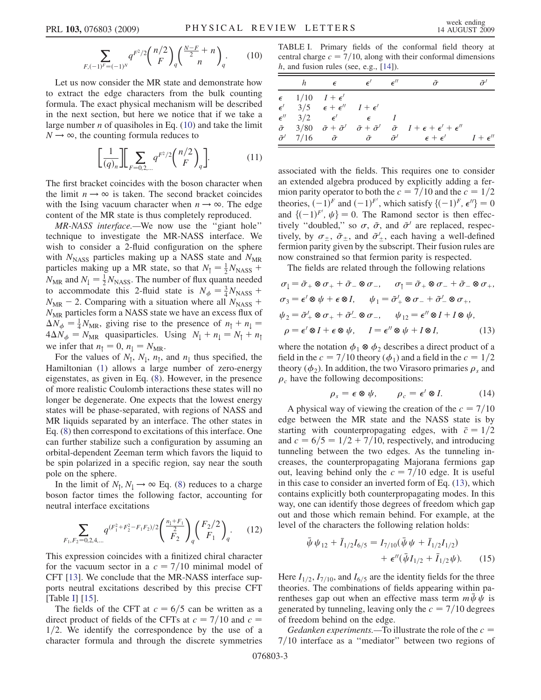<span id="page-3-0"></span>
$$
\sum_{F, (-1)^F = (-1)^N} q^{F^2/2} {n/2 \choose F}_q {\frac{N-F}{2} + n \choose n}_q.
$$
 (10)

Let us now consider the MR state and demonstrate how to extract the edge characters from the bulk counting formula. The exact physical mechanism will be described in the next section, but here we notice that if we take a large number  $n$  of quasiholes in Eq. [\(10\)](#page-3-0) and take the limit  $N \rightarrow \infty$ , the counting formula reduces to

$$
\left[\frac{1}{(q)_n}\right] \left[\sum_{F=0,2,\dots} q^{F^2/2} \binom{n/2}{F}_q\right].\tag{11}
$$

The first bracket coincides with the boson character when the limit  $n \rightarrow \infty$  is taken. The second bracket coincides with the Ising vacuum character when  $n \rightarrow \infty$ . The edge content of the MR state is thus completely reproduced.

MR-NASS interface.—We now use the ''giant hole'' technique to investigate the MR-NASS interface. We wish to consider a 2-fluid configuration on the sphere with  $N<sub>NASS</sub>$  particles making up a NASS state and  $N<sub>MR</sub>$ particles making up a MR state, so that  $N_1 = \frac{1}{2} N_{\text{NASS}} + N_{\text{C}}$ <br> $N_{\text{C}}$  and  $N_{\text{C}} = \frac{1}{2} N_{\text{NASS}}$ . The number of flux quanta needed  $N_{MR}$  and  $N_{\parallel} = \frac{1}{2} N_{NASS}$ . The number of flux quanta needed<br>to accommodate this 2-fluid state is  $N_{\parallel} = \frac{3}{2} N_{\perp} +$ to accommodate this 2-fluid state is  $N_{\phi} = \frac{3}{4} N_{\text{NASS}} + N_{\text{N-}} = 2$  Comparing with a situation where all  $N_{\text{SUSY}} +$  $N_{MR}$  – 2. Comparing with a situation where all  $N_{NASS}$  +  $N<sub>MR</sub>$  particles form a NASS state we have an excess flux of  $\Delta N_{\phi} = \frac{1}{4} N_{MR}$ , giving rise to the presence of  $n_{\uparrow} + n_{\downarrow} =$ <br> $4 \Delta N_{\phi} = N_{\phi}$  aussiparticles. Using  $N_{\phi} + n_{\phi} = N_{\phi} + n_{\phi}$  $4\Delta N_{\phi} = N_{MR}$  quasiparticles. Using  $N_{\downarrow} + n_{\downarrow} = N_{\uparrow} + n_{\uparrow}$ <br>we infer that  $n_{\phi} = 0$ ,  $n_{\phi} = N_{\phi}$ we infer that  $n_1 = 0$ ,  $n_1 = N_{MR}$ .

For the values of  $N_1$ ,  $N_1$ ,  $n_1$ , and  $n_1$  thus specified, the Hamiltonian [\(1](#page-2-0)) allows a large number of zero-energy eigenstates, as given in Eq. ([8\)](#page-2-1). However, in the presence of more realistic Coulomb interactions these states will no longer be degenerate. One expects that the lowest energy states will be phase-separated, with regions of NASS and MR liquids separated by an interface. The other states in Eq. ([8](#page-2-1)) then correspond to excitations of this interface. One can further stabilize such a configuration by assuming an orbital-dependent Zeeman term which favors the liquid to be spin polarized in a specific region, say near the south pole on the sphere.

In the limit of  $N_1$ ,  $N_1 \rightarrow \infty$  Eq. [\(8\)](#page-2-1) reduces to a charge boson factor times the following factor, accounting for neutral interface excitations

$$
\sum_{F_1, F_2 = 0, 2, 4, \dots} q^{(F_1^2 + F_2^2 - F_1 F_2)/2} \left( \frac{\frac{n_1 + F_1}{2}}{F_2} \right)_{q} \left( \frac{F_2/2}{F_1} \right)_{q}.
$$
 (12)

This expression coincides with a finitized chiral character for the vacuum sector in a  $c = 7/10$  minimal model of CFT [[13](#page-4-12)]. We conclude that the MR-NASS interface supports neutral excitations described by this precise CFT [Table [I](#page-3-1)]  $[15]$ .

The fields of the CFT at  $c = 6/5$  can be written as a direct product of fields of the CFTs at  $c = 7/10$  and  $c =$  $1/2$ . We identify the correspondence by the use of a character formula and through the discrete symmetries

<span id="page-3-1"></span>TABLE I. Primary fields of the conformal field theory at central charge  $c = 7/10$ , along with their conformal dimensions  $h$ , and fusion rules (see, e.g., [\[14\]](#page-4-14)).

| h | $\epsilon$                                              | $\epsilon'$ $\epsilon''$                  |                                                                                                                                                          |  |
|---|---------------------------------------------------------|-------------------------------------------|----------------------------------------------------------------------------------------------------------------------------------------------------------|--|
|   | $\epsilon$ 1/10 $I + \epsilon'$                         |                                           |                                                                                                                                                          |  |
|   | $\epsilon'$ 3/5 $\epsilon + \epsilon''$ $I + \epsilon'$ |                                           |                                                                                                                                                          |  |
|   |                                                         | $\epsilon''$ 3/2 $\epsilon'$ $\epsilon$ I |                                                                                                                                                          |  |
|   |                                                         |                                           | $\tilde{\sigma}$ 3/80 $\tilde{\sigma} + \tilde{\sigma}'$ $\tilde{\sigma} + \tilde{\sigma}'$ $\tilde{\sigma}$ $I + \epsilon + \epsilon' + \epsilon''$     |  |
|   |                                                         |                                           | $\tilde{\sigma}^{\prime}$ 7/16 $\tilde{\sigma}$ $\tilde{\sigma}$ $\tilde{\sigma}^{\prime}$ $\epsilon + \epsilon^{\prime}$ $I + \epsilon^{\prime \prime}$ |  |
|   |                                                         |                                           |                                                                                                                                                          |  |

associated with the fields. This requires one to consider an extended algebra produced by explicitly adding a fermion parity operator to both the  $c = 7/10$  and the  $c = 1/2$ theories,  $(-1)^F$  and  $(-1)^F'$ , which satisfy  $\{(-1)^F, \epsilon''\} = 0$ <br>and  $\ell(-1)^{F'}$ ,  $\mu\} = 0$ . The Ramond sector is then effecand  $\{(-1)^{F'}$ ,  $\psi\} = 0$ . The Ramond sector is then effec-<br>tively "doubled" so  $\sigma$ ,  $\tilde{\sigma}$  and  $\tilde{\sigma}'$  are replaced respectively "doubled," so  $\sigma$ ,  $\tilde{\sigma}$ , and  $\tilde{\sigma}'$  are replaced, respectively, by  $\sigma_{\pm}$ ,  $\tilde{\sigma}_{\pm}$ , and  $\tilde{\sigma}'_{\pm}$ , each having a well-defined fermion parity given by the subscript. Their fusion rules are fermion parity given by the subscript. Their fusion rules are now constrained so that fermion parity is respected.

The fields are related through the following relations

<span id="page-3-2"></span>
$$
\sigma_1 = \tilde{\sigma}_+ \otimes \sigma_+ + \tilde{\sigma}_- \otimes \sigma_-, \quad \sigma_1 = \tilde{\sigma}_+ \otimes \sigma_- + \tilde{\sigma}_- \otimes \sigma_+, \n\sigma_3 = \epsilon' \otimes \psi + \epsilon \otimes I, \quad \psi_1 = \tilde{\sigma}'_+ \otimes \sigma_- + \tilde{\sigma}'_- \otimes \sigma_+, \n\psi_2 = \tilde{\sigma}'_+ \otimes \sigma_+ + \tilde{\sigma}'_- \otimes \sigma_-, \quad \psi_{12} = \epsilon'' \otimes I + I \otimes \psi, \n\rho = \epsilon' \otimes I + \epsilon \otimes \psi, \quad I = \epsilon'' \otimes \psi + I \otimes I,
$$
\n(13)

where the notation  $\phi_1 \otimes \phi_2$  describes a direct product of a field in the  $c = 7/10$  theory ( $\phi_1$ ) and a field in the  $c = 1/2$ theory  $(\phi_2)$ . In addition, the two Virasoro primaries  $\rho_s$  and  $\rho_c$  have the following decompositions:

$$
\rho_s = \epsilon \otimes \psi, \qquad \rho_c = \epsilon' \otimes I. \tag{14}
$$

<span id="page-3-3"></span>A physical way of viewing the creation of the  $c = 7/10$ edge between the MR state and the NASS state is by starting with counterpropagating edges, with  $\bar{c} = 1/2$ and  $c = 6/5 = 1/2 + 7/10$ , respectively, and introducing tunneling between the two edges. As the tunneling increases, the counterpropagating Majorana fermions gap out, leaving behind only the  $c = 7/10$  edge. It is useful in this case to consider an inverted form of Eq. [\(13\)](#page-3-2), which contains explicitly both counterpropagating modes. In this way, one can identify those degrees of freedom which gap out and those which remain behind. For example, at the level of the characters the following relation holds:

$$
\bar{\psi}\psi_{12} + \bar{I}_{1/2}I_{6/5} = I_{7/10}(\bar{\psi}\psi + \bar{I}_{1/2}I_{1/2}) \n+ \epsilon''(\bar{\psi}I_{1/2} + \bar{I}_{1/2}\psi).
$$
\n(15)

Here  $I_{1/2}$ ,  $I_{7/10}$ , and  $I_{6/5}$  are the identity fields for the three theories. The combinations of fields appearing within parentheses gap out when an effective mass term  $m\bar{\psi}\psi$  is generated by tunneling, leaving only the  $c = 7/10$  degrees of freedom behind on the edge.

Gedanken experiments.—To illustrate the role of the  $c =$  $7/10$  interface as a "mediator" between two regions of